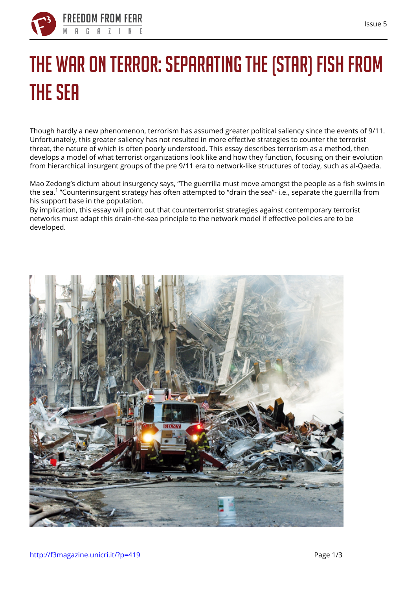

## **The War on Terror: Separating the (Star) Fish from the Sea**

Though hardly a new phenomenon, terrorism has assumed greater political saliency since the events of 9/11. Unfortunately, this greater saliency has not resulted in more effective strategies to counter the terrorist threat, the nature of which is often poorly understood. This essay describes terrorism as a method, then develops a model of what terrorist organizations look like and how they function, focusing on their evolution from hierarchical insurgent groups of the pre 9/11 era to network-like structures of today, such as al-Qaeda.

Mao Zedong's dictum about insurgency says, "The guerrilla must move amongst the people as a fish swims in the sea.<sup>1</sup> "Counterinsurgent strategy has often attempted to "drain the sea"- i.e., separate the guerrilla from his support base in the population.

By implication, this essay will point out that counterterrorist strategies against contemporary terrorist networks must adapt this drain-the-sea principle to the network model if effective policies are to be developed.

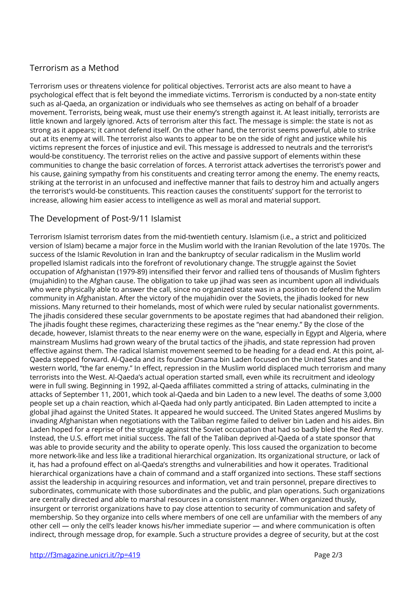## **Terrorism as a Method**

Terrorism uses or threatens violence for political objectives. Terrorist acts are also meant to have a psychological effect that is felt beyond the immediate victims. Terrorism is conducted by a non-state entity such as al-Qaeda, an organization or individuals who see themselves as acting on behalf of a broader movement. Terrorists, being weak, must use their enemy's strength against it. At least initially, terrorists are little known and largely ignored. Acts of terrorism alter this fact. The message is simple: the state is not as strong as it appears; it cannot defend itself. On the other hand, the terrorist seems powerful, able to strike out at its enemy at will. The terrorist also wants to appear to be on the side of right and justice while his victims represent the forces of injustice and evil. This message is addressed to neutrals and the terrorist's would-be constituency. The terrorist relies on the active and passive support of elements within these communities to change the basic correlation of forces. A terrorist attack advertises the terrorist's power and his cause, gaining sympathy from his constituents and creating terror among the enemy. The enemy reacts, striking at the terrorist in an unfocused and ineffective manner that fails to destroy him and actually angers the terrorist's would-be constituents. This reaction causes the constituents' support for the terrorist to increase, allowing him easier access to intelligence as well as moral and material support.

## **The Development of Post-9/11 Islamist**

Terrorism Islamist terrorism dates from the mid-twentieth century. Islamism (i.e., a strict and politicized version of Islam) became a major force in the Muslim world with the Iranian Revolution of the late 1970s. The success of the Islamic Revolution in Iran and the bankruptcy of secular radicalism in the Muslim world propelled Islamist radicals into the forefront of revolutionary change. The struggle against the Soviet occupation of Afghanistan (1979-89) intensified their fervor and rallied tens of thousands of Muslim fighters (mujahidin) to the Afghan cause. The obligation to take up jihad was seen as incumbent upon all individuals who were physically able to answer the call, since no organized state was in a position to defend the Muslim community in Afghanistan. After the victory of the mujahidin over the Soviets, the jihadis looked for new missions. Many returned to their homelands, most of which were ruled by secular nationalist governments. The jihadis considered these secular governments to be apostate regimes that had abandoned their religion. The jihadis fought these regimes, characterizing these regimes as the "near enemy." By the close of the decade, however, Islamist threats to the near enemy were on the wane, especially in Egypt and Algeria, where mainstream Muslims had grown weary of the brutal tactics of the jihadis, and state repression had proven effective against them. The radical Islamist movement seemed to be heading for a dead end. At this point, al-Qaeda stepped forward. Al-Qaeda and its founder Osama bin Laden focused on the United States and the western world, "the far enemy." In effect, repression in the Muslim world displaced much terrorism and many terrorists into the West. Al-Qaeda's actual operation started small, even while its recruitment and ideology were in full swing. Beginning in 1992, al-Qaeda affiliates committed a string of attacks, culminating in the attacks of September 11, 2001, which took al-Qaeda and bin Laden to a new level. The deaths of some 3,000 people set up a chain reaction, which al-Qaeda had only partly anticipated. Bin Laden attempted to incite a global jihad against the United States. It appeared he would succeed. The United States angered Muslims by invading Afghanistan when negotiations with the Taliban regime failed to deliver bin Laden and his aides. Bin Laden hoped for a reprise of the struggle against the Soviet occupation that had so badly bled the Red Army. Instead, the U.S. effort met initial success. The fall of the Taliban deprived al-Qaeda of a state sponsor that was able to provide security and the ability to operate openly. This loss caused the organization to become more network-like and less like a traditional hierarchical organization. Its organizational structure, or lack of it, has had a profound effect on al-Qaeda's strengths and vulnerabilities and how it operates. Traditional hierarchical organizations have a chain of command and a staff organized into sections. These staff sections assist the leadership in acquiring resources and information, vet and train personnel, prepare directives to subordinates, communicate with those subordinates and the public, and plan operations. Such organizations are centrally directed and able to marshal resources in a consistent manner. When organized thusly, insurgent or terrorist organizations have to pay close attention to security of communication and safety of membership. So they organize into cells where members of one cell are unfamiliar with the members of any other cell — only the cell's leader knows his/her immediate superior — and where communication is often indirect, through message drop, for example. Such a structure provides a degree of security, but at the cost